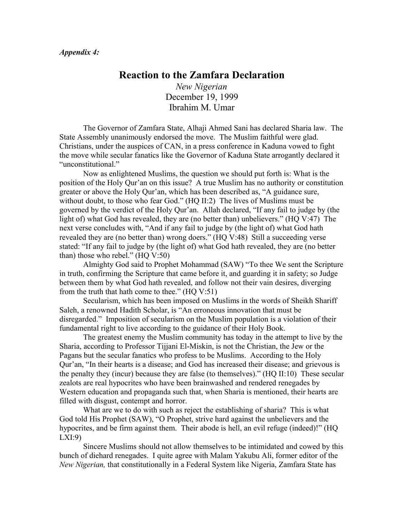## **Reaction to the Zamfara Declaration**

*New Nigerian* December 19, 1999 Ibrahim M. Umar

The Governor of Zamfara State, Alhaji Ahmed Sani has declared Sharia law. The State Assembly unanimously endorsed the move. The Muslim faithful were glad. Christians, under the auspices of CAN, in a press conference in Kaduna vowed to fight the move while secular fanatics like the Governor of Kaduna State arrogantly declared it "unconstitutional."

Now as enlightened Muslims, the question we should put forth is: What is the position of the Holy Qur'an on this issue? A true Muslim has no authority or constitution greater or above the Holy Qur'an, which has been described as, "A guidance sure, without doubt, to those who fear God." (HQ II:2) The lives of Muslims must be governed by the verdict of the Holy Qur'an. Allah declared, "If any fail to judge by (the light of) what God has revealed, they are (no better than) unbelievers." (HQ V:47) The next verse concludes with, "And if any fail to judge by (the light of) what God hath revealed they are (no better than) wrong doers." (HQ V:48) Still a succeeding verse stated: "If any fail to judge by (the light of) what God hath revealed, they are (no better than) those who rebel." (HQ V:50)

Almighty God said to Prophet Mohammad (SAW) "To thee We sent the Scripture in truth, confirming the Scripture that came before it, and guarding it in safety; so Judge between them by what God hath revealed, and follow not their vain desires, diverging from the truth that hath come to thee."  $(HO V:51)$ 

Secularism, which has been imposed on Muslims in the words of Sheikh Shariff Saleh, a renowned Hadith Scholar, is "An erroneous innovation that must be disregarded." Imposition of secularism on the Muslim population is a violation of their fundamental right to live according to the guidance of their Holy Book.

The greatest enemy the Muslim community has today in the attempt to live by the Sharia, according to Professor Tijjani El-Miskin, is not the Christian, the Jew or the Pagans but the secular fanatics who profess to be Muslims. According to the Holy Qur'an, "In their hearts is a disease; and God has increased their disease; and grievous is the penalty they (incur) because they are false (to themselves)." (HQ II:10) These secular zealots are real hypocrites who have been brainwashed and rendered renegades by Western education and propaganda such that, when Sharia is mentioned, their hearts are filled with disgust, contempt and horror.

What are we to do with such as reject the establishing of sharia? This is what God told His Prophet (SAW), "O Prophet, strive hard against the unbelievers and the hypocrites, and be firm against them. Their abode is hell, an evil refuge (indeed)!" (HQ LXI:9)

Sincere Muslims should not allow themselves to be intimidated and cowed by this bunch of diehard renegades. I quite agree with Malam Yakubu Ali, former editor of the *New Nigerian,* that constitutionally in a Federal System like Nigeria, Zamfara State has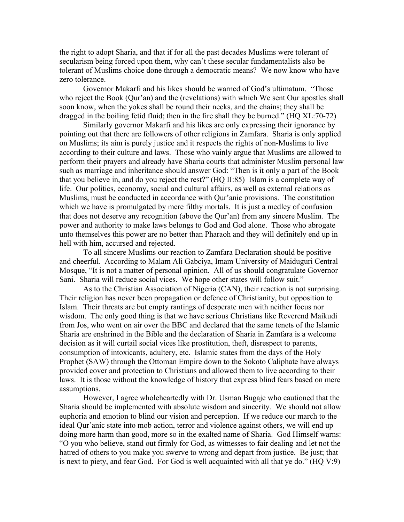the right to adopt Sharia, and that if for all the past decades Muslims were tolerant of secularism being forced upon them, why can't these secular fundamentalists also be tolerant of Muslims choice done through a democratic means? We now know who have zero tolerance.

Governor Makarfi and his likes should be warned of God's ultimatum. "Those who reject the Book (Qur'an) and the (revelations) with which We sent Our apostles shall soon know, when the yokes shall be round their necks, and the chains; they shall be dragged in the boiling fetid fluid; then in the fire shall they be burned." (HQ XL:70-72)

Similarly governor Makarfi and his likes are only expressing their ignorance by pointing out that there are followers of other religions in Zamfara. Sharia is only applied on Muslims; its aim is purely justice and it respects the rights of non-Muslims to live according to their culture and laws. Those who vainly argue that Muslims are allowed to perform their prayers and already have Sharia courts that administer Muslim personal law such as marriage and inheritance should answer God: "Then is it only a part of the Book that you believe in, and do you reject the rest?" (HQ II:85) Islam is a complete way of life. Our politics, economy, social and cultural affairs, as well as external relations as Muslims, must be conducted in accordance with Qur'anic provisions. The constitution which we have is promulgated by mere filthy mortals. It is just a medley of confusion that does not deserve any recognition (above the Qur'an) from any sincere Muslim. The power and authority to make laws belongs to God and God alone. Those who abrogate unto themselves this power are no better than Pharaoh and they will definitely end up in hell with him, accursed and rejected.

To all sincere Muslims our reaction to Zamfara Declaration should be positive and cheerful. According to Malam Ali Gabciya, Imam University of Maiduguri Central Mosque, "It is not a matter of personal opinion. All of us should congratulate Governor Sani. Sharia will reduce social vices. We hope other states will follow suit."

As to the Christian Association of Nigeria (CAN), their reaction is not surprising. Their religion has never been propagation or defence of Christianity, but opposition to Islam. Their threats are but empty rantings of desperate men with neither focus nor wisdom. The only good thing is that we have serious Christians like Reverend Maikudi from Jos, who went on air over the BBC and declared that the same tenets of the Islamic Sharia are enshrined in the Bible and the declaration of Sharia in Zamfara is a welcome decision as it will curtail social vices like prostitution, theft, disrespect to parents, consumption of intoxicants, adultery, etc. Islamic states from the days of the Holy Prophet (SAW) through the Ottoman Empire down to the Sokoto Caliphate have always provided cover and protection to Christians and allowed them to live according to their laws. It is those without the knowledge of history that express blind fears based on mere assumptions.

However, I agree wholeheartedly with Dr. Usman Bugaje who cautioned that the Sharia should be implemented with absolute wisdom and sincerity. We should not allow euphoria and emotion to blind our vision and perception. If we reduce our march to the ideal Qur'anic state into mob action, terror and violence against others, we will end up doing more harm than good, more so in the exalted name of Sharia. God Himself warns: "O you who believe, stand out firmly for God, as witnesses to fair dealing and let not the hatred of others to you make you swerve to wrong and depart from justice. Be just; that is next to piety, and fear God. For God is well acquainted with all that ye do." (HQ V:9)